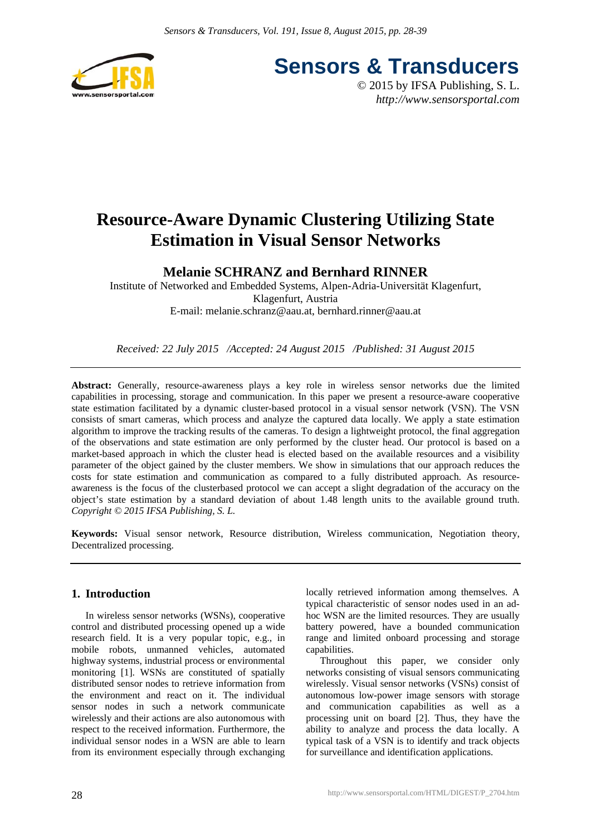

**Sensors & Transducers**

© 2015 by IFSA Publishing, S. L. *http://www.sensorsportal.com*

# **Resource-Aware Dynamic Clustering Utilizing State Estimation in Visual Sensor Networks**

## **Melanie SCHRANZ and Bernhard RINNER**

Institute of Networked and Embedded Systems, Alpen-Adria-Universität Klagenfurt, Klagenfurt, Austria E-mail: melanie.schranz@aau.at, bernhard.rinner@aau.at

*Received: 22 July 2015 /Accepted: 24 August 2015 /Published: 31 August 2015*

Abstract: Generally, resource-awareness plays a key role in wireless sensor networks due the limited capabilities in processing, storage and communication. In this paper we present a resource-aware cooperative state estimation facilitated by a dynamic cluster-based protocol in a visual sensor network (VSN). The VSN consists of smart cameras, which process and analyze the captured data locally. We apply a state estimation algorithm to improve the tracking results of the cameras. To design a lightweight protocol, the final aggregation of the observations and state estimation are only performed by the cluster head. Our protocol is based on a market-based approach in which the cluster head is elected based on the available resources and a visibility parameter of the object gained by the cluster members. We show in simulations that our approach reduces the costs for state estimation and communication as compared to a fully distributed approach. As resourceawareness is the focus of the clusterbased protocol we can accept a slight degradation of the accuracy on the object's state estimation by a standard deviation of about 1.48 length units to the available ground truth. *Copyright © 2015 IFSA Publishing, S. L.*

**Keywords:** Visual sensor network, Resource distribution, Wireless communication, Negotiation theory, Decentralized processing.

## **1. Introduction**

In wireless sensor networks (WSNs), cooperative control and distributed processing opened up a wide research field. It is a very popular topic, e.g., in mobile robots, unmanned vehicles, automated highway systems, industrial process or environmental monitoring [1]. WSNs are constituted of spatially distributed sensor nodes to retrieve information from the environment and react on it. The individual sensor nodes in such a network communicate wirelessly and their actions are also autonomous with respect to the received information. Furthermore, the individual sensor nodes in a WSN are able to learn from its environment especially through exchanging

locally retrieved information among themselves. A typical characteristic of sensor nodes used in an adhoc WSN are the limited resources. They are usually battery powered, have a bounded communication range and limited onboard processing and storage capabilities.

Throughout this paper, we consider only networks consisting of visual sensors communicating wirelessly. Visual sensor networks (VSNs) consist of autonomous low-power image sensors with storage and communication capabilities as well as a processing unit on board [2]. Thus, they have the ability to analyze and process the data locally. A typical task of a VSN is to identify and track objects for surveillance and identification applications.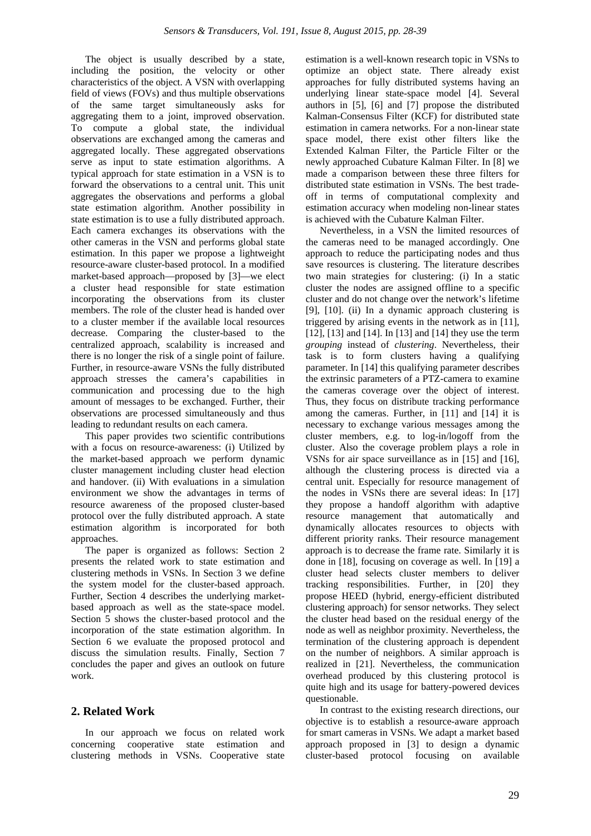The object is usually described by a state, including the position, the velocity or other characteristics of the object. A VSN with overlapping field of views (FOVs) and thus multiple observations of the same target simultaneously asks for aggregating them to a joint, improved observation. To compute a global state, the individual observations are exchanged among the cameras and aggregated locally. These aggregated observations serve as input to state estimation algorithms. A typical approach for state estimation in a VSN is to forward the observations to a central unit. This unit aggregates the observations and performs a global state estimation algorithm. Another possibility in state estimation is to use a fully distributed approach. Each camera exchanges its observations with the other cameras in the VSN and performs global state estimation. In this paper we propose a lightweight resource-aware cluster-based protocol. In a modified market-based approach—proposed by [3]—we elect a cluster head responsible for state estimation incorporating the observations from its cluster members. The role of the cluster head is handed over to a cluster member if the available local resources decrease. Comparing the cluster-based to the centralized approach, scalability is increased and there is no longer the risk of a single point of failure. Further, in resource-aware VSNs the fully distributed approach stresses the camera's capabilities in communication and processing due to the high amount of messages to be exchanged. Further, their observations are processed simultaneously and thus leading to redundant results on each camera.

This paper provides two scientific contributions with a focus on resource-awareness: (i) Utilized by the market-based approach we perform dynamic cluster management including cluster head election and handover. (ii) With evaluations in a simulation environment we show the advantages in terms of resource awareness of the proposed cluster-based protocol over the fully distributed approach. A state estimation algorithm is incorporated for both approaches.

The paper is organized as follows: Section 2 presents the related work to state estimation and clustering methods in VSNs. In Section 3 we define the system model for the cluster-based approach. Further, Section 4 describes the underlying marketbased approach as well as the state-space model. Section 5 shows the cluster-based protocol and the incorporation of the state estimation algorithm. In Section 6 we evaluate the proposed protocol and discuss the simulation results. Finally, Section 7 concludes the paper and gives an outlook on future work.

## **2. Related Work**

In our approach we focus on related work concerning cooperative state estimation and clustering methods in VSNs. Cooperative state estimation is a well-known research topic in VSNs to optimize an object state. There already exist approaches for fully distributed systems having an underlying linear state-space model [4]. Several authors in [5], [6] and [7] propose the distributed Kalman-Consensus Filter (KCF) for distributed state estimation in camera networks. For a non-linear state space model, there exist other filters like the Extended Kalman Filter, the Particle Filter or the newly approached Cubature Kalman Filter. In [8] we made a comparison between these three filters for distributed state estimation in VSNs. The best tradeoff in terms of computational complexity and estimation accuracy when modeling non-linear states is achieved with the Cubature Kalman Filter.

Nevertheless, in a VSN the limited resources of the cameras need to be managed accordingly. One approach to reduce the participating nodes and thus save resources is clustering. The literature describes two main strategies for clustering: (i) In a static cluster the nodes are assigned offline to a specific cluster and do not change over the network's lifetime [9], [10]. (ii) In a dynamic approach clustering is triggered by arising events in the network as in [11], [12], [13] and [14]. In [13] and [14] they use the term *grouping* instead of *clustering*. Nevertheless, their task is to form clusters having a qualifying parameter. In [14] this qualifying parameter describes the extrinsic parameters of a PTZ-camera to examine the cameras coverage over the object of interest. Thus, they focus on distribute tracking performance among the cameras. Further, in [11] and [14] it is necessary to exchange various messages among the cluster members, e.g. to log-in/logoff from the cluster. Also the coverage problem plays a role in VSNs for air space surveillance as in [15] and [16], although the clustering process is directed via a central unit. Especially for resource management of the nodes in VSNs there are several ideas: In [17] they propose a handoff algorithm with adaptive resource management that automatically and dynamically allocates resources to objects with different priority ranks. Their resource management approach is to decrease the frame rate. Similarly it is done in [18], focusing on coverage as well. In [19] a cluster head selects cluster members to deliver tracking responsibilities. Further, in [20] they propose HEED (hybrid, energy-efficient distributed clustering approach) for sensor networks. They select the cluster head based on the residual energy of the node as well as neighbor proximity. Nevertheless, the termination of the clustering approach is dependent on the number of neighbors. A similar approach is realized in [21]. Nevertheless, the communication overhead produced by this clustering protocol is quite high and its usage for battery-powered devices questionable.

In contrast to the existing research directions, our objective is to establish a resource-aware approach for smart cameras in VSNs. We adapt a market based approach proposed in [3] to design a dynamic cluster-based protocol focusing on available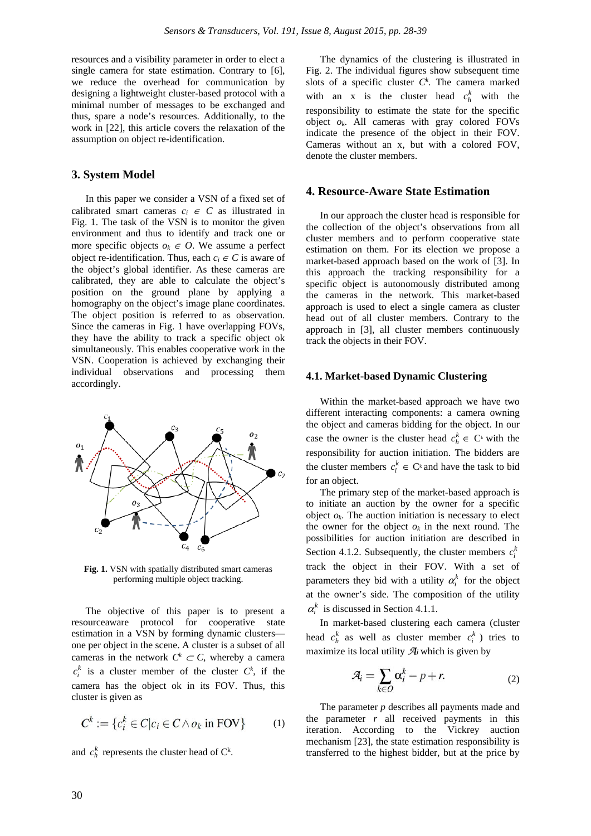resources and a visibility parameter in order to elect a single camera for state estimation. Contrary to [6], we reduce the overhead for communication by designing a lightweight cluster-based protocol with a minimal number of messages to be exchanged and thus, spare a node's resources. Additionally, to the work in [22], this article covers the relaxation of the assumption on object re-identification.

## **3. System Model**

In this paper we consider a VSN of a fixed set of calibrated smart cameras  $c_i \in C$  as illustrated in Fig. 1. The task of the VSN is to monitor the given environment and thus to identify and track one or more specific objects  $o_k \in O$ . We assume a perfect object re-identification. Thus, each  $c_i \in C$  is aware of the object's global identifier. As these cameras are calibrated, they are able to calculate the object's position on the ground plane by applying a homography on the object's image plane coordinates. The object position is referred to as observation. Since the cameras in Fig. 1 have overlapping FOVs, they have the ability to track a specific object ok simultaneously. This enables cooperative work in the VSN. Cooperation is achieved by exchanging their individual observations and processing them accordingly.



**Fig. 1.** VSN with spatially distributed smart cameras performing multiple object tracking.

The objective of this paper is to present a resourceaware protocol for cooperative state estimation in a VSN by forming dynamic clusters one per object in the scene. A cluster is a subset of all cameras in the network  $C^k \subset C$ , whereby a camera  $c_i^k$  is a cluster member of the cluster  $C^k$ , if the camera has the object ok in its FOV. Thus, this cluster is given as

$$
C^k := \{c_i^k \in C | c_i \in C \wedge o_k \text{ in FOV}\}\tag{1}
$$

and  $c_h^k$  represents the cluster head of  $C^k$ .

The dynamics of the clustering is illustrated in Fig. 2. The individual figures show subsequent time slots of a specific cluster  $C^k$ . The camera marked with an x is the cluster head  $c_h^k$  with the responsibility to estimate the state for the specific object *ok*. All cameras with gray colored FOVs indicate the presence of the object in their FOV. Cameras without an x, but with a colored FOV, denote the cluster members.

#### **4. Resource-Aware State Estimation**

In our approach the cluster head is responsible for the collection of the object's observations from all cluster members and to perform cooperative state estimation on them. For its election we propose a market-based approach based on the work of [3]. In this approach the tracking responsibility for a specific object is autonomously distributed among the cameras in the network. This market-based approach is used to elect a single camera as cluster head out of all cluster members. Contrary to the approach in [3], all cluster members continuously track the objects in their FOV.

### **4.1. Market-based Dynamic Clustering**

Within the market-based approach we have two different interacting components: a camera owning the object and cameras bidding for the object. In our case the owner is the cluster head  $c_h^k \in C^k$  with the responsibility for auction initiation. The bidders are the cluster members  $c_i^k \in C^k$  and have the task to bid for an object.

The primary step of the market-based approach is to initiate an auction by the owner for a specific object  $o_k$ . The auction initiation is necessary to elect the owner for the object  $o_k$  in the next round. The possibilities for auction initiation are described in Section 4.1.2. Subsequently, the cluster members  $c_i^k$ track the object in their FOV. With a set of parameters they bid with a utility  $\alpha_i^k$  for the object at the owner's side. The composition of the utility  $\alpha_i^k$  is discussed in Section 4.1.1.

In market-based clustering each camera (cluster head  $c_h^k$  as well as cluster member  $c_i^k$ ) tries to maximize its local utility  $\mathcal{A}_i$  which is given by

$$
\mathcal{A}_i = \sum_{k \in O} \alpha_i^k - p + r. \tag{2}
$$

The parameter *p* describes all payments made and the parameter *r* all received payments in this iteration. According to the Vickrey auction mechanism [23], the state estimation responsibility is transferred to the highest bidder, but at the price by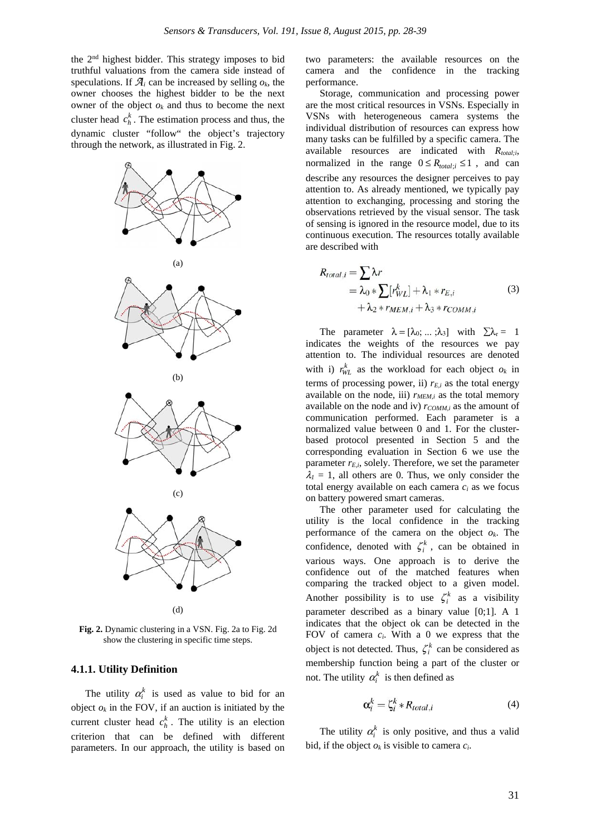the 2nd highest bidder. This strategy imposes to bid truthful valuations from the camera side instead of speculations. If  $\mathcal{A}_i$  can be increased by selling  $o_k$ , the owner chooses the highest bidder to be the next owner of the object  $o_k$  and thus to become the next cluster head  $c_h^k$ . The estimation process and thus, the dynamic cluster "follow" the object's trajectory through the network, as illustrated in Fig. 2.



**Fig. 2.** Dynamic clustering in a VSN. Fig. 2a to Fig. 2d show the clustering in specific time steps.

#### **4.1.1. Utility Definition**

The utility  $\alpha_i^k$  is used as value to bid for an object  $o_k$  in the FOV, if an auction is initiated by the current cluster head  $c_h^k$ . The utility is an election criterion that can be defined with different parameters. In our approach, the utility is based on

two parameters: the available resources on the camera and the confidence in the tracking performance.

Storage, communication and processing power are the most critical resources in VSNs. Especially in VSNs with heterogeneous camera systems the individual distribution of resources can express how many tasks can be fulfilled by a specific camera. The available resources are indicated with *Rtotal;i*, normalized in the range  $0 \le R_{total:i} \le 1$ , and can describe any resources the designer perceives to pay attention to. As already mentioned, we typically pay attention to exchanging, processing and storing the observations retrieved by the visual sensor. The task of sensing is ignored in the resource model, due to its continuous execution. The resources totally available are described with

$$
R_{total,i} = \sum \lambda r
$$
  
=  $\lambda_0 * \sum [r_{WL}^k] + \lambda_1 * r_{E,i}$  (3)  
+  $\lambda_2 * r_{MEM,i} + \lambda_3 * r_{COMM,i}$ 

The parameter  $\lambda = [\lambda_0; ...; \lambda_3]$  with  $\Sigma \lambda_r = 1$ indicates the weights of the resources we pay attention to. The individual resources are denoted with i)  $r_{WL}^{k}$  as the workload for each object  $o_k$  in terms of processing power, ii)  $r_{E,i}$  as the total energy available on the node, iii)  $r_{MEM,i}$  as the total memory available on the node and iv)  $r_{COMM,i}$  as the amount of communication performed. Each parameter is a normalized value between 0 and 1. For the clusterbased protocol presented in Section 5 and the corresponding evaluation in Section 6 we use the parameter  $r_{E,i}$ , solely. Therefore, we set the parameter  $\lambda_1 = 1$ , all others are 0. Thus, we only consider the total energy available on each camera *ci* as we focus on battery powered smart cameras.

The other parameter used for calculating the utility is the local confidence in the tracking performance of the camera on the object *ok*. The confidence, denoted with  $\zeta_i^k$ , can be obtained in various ways. One approach is to derive the confidence out of the matched features when comparing the tracked object to a given model. Another possibility is to use  $\zeta_i^k$  as a visibility parameter described as a binary value [0;1]. A 1 indicates that the object ok can be detected in the FOV of camera *ci*. With a 0 we express that the object is not detected. Thus,  $\zeta_i^k$  can be considered as membership function being a part of the cluster or not. The utility  $\alpha_i^k$  is then defined as

$$
\alpha_i^k = \zeta_i^k * R_{total,i} \tag{4}
$$

The utility  $\alpha_i^k$  is only positive, and thus a valid bid, if the object  $o_k$  is visible to camera  $c_i$ .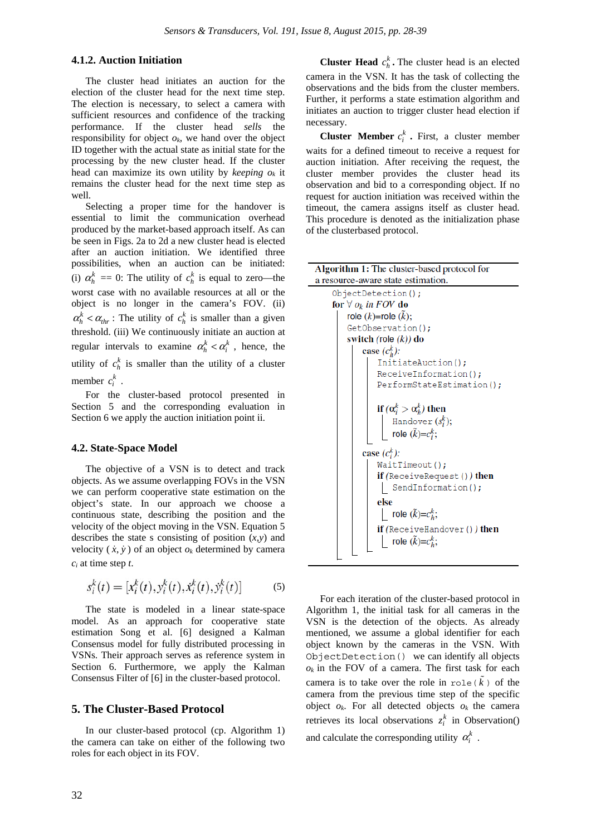## **4.1.2. Auction Initiation**

The cluster head initiates an auction for the election of the cluster head for the next time step. The election is necessary, to select a camera with sufficient resources and confidence of the tracking performance. If the cluster head *sells* the responsibility for object  $o_k$ , we hand over the object ID together with the actual state as initial state for the processing by the new cluster head. If the cluster head can maximize its own utility by *keeping ok* it remains the cluster head for the next time step as well.

Selecting a proper time for the handover is essential to limit the communication overhead produced by the market-based approach itself. As can be seen in Figs. 2a to 2d a new cluster head is elected after an auction initiation. We identified three possibilities, when an auction can be initiated: (i)  $\alpha_h^k = 0$ : The utility of  $c_h^k$  is equal to zero—the worst case with no available resources at all or the object is no longer in the camera's FOV. (ii)  $\alpha_h^k < \alpha_{thr}$ : The utility of  $c_h^k$  is smaller than a given threshold. (iii) We continuously initiate an auction at regular intervals to examine  $\alpha_h^k < \alpha_i^k$ , hence, the utility of  $c_h^k$  is smaller than the utility of a cluster member  $c_i^k$ .

For the cluster-based protocol presented in Section 5 and the corresponding evaluation in Section 6 we apply the auction initiation point ii.

#### **4.2. State-Space Model**

The objective of a VSN is to detect and track objects. As we assume overlapping FOVs in the VSN we can perform cooperative state estimation on the object's state. In our approach we choose a continuous state, describing the position and the velocity of the object moving in the VSN. Equation 5 describes the state s consisting of position (*x,y*) and velocity  $(\dot{x}, \dot{y})$  of an object  $o_k$  determined by camera *ci* at time step *t*.

$$
s_i^k(t) = [x_i^k(t), y_i^k(t), \dot{x}_i^k(t), \dot{y}_i^k(t)]
$$
 (5)

The state is modeled in a linear state-space model. As an approach for cooperative state estimation Song et al. [6] designed a Kalman Consensus model for fully distributed processing in VSNs. Their approach serves as reference system in Section 6. Furthermore, we apply the Kalman Consensus Filter of [6] in the cluster-based protocol.

#### **5. The Cluster-Based Protocol**

In our cluster-based protocol (cp. Algorithm 1) the camera can take on either of the following two roles for each object in its FOV.

**Cluster Head**  $c_h^k$ . The cluster head is an elected camera in the VSN. It has the task of collecting the observations and the bids from the cluster members. Further, it performs a state estimation algorithm and initiates an auction to trigger cluster head election if necessary.

**Cluster Member**  $c_i^k$ . First, a cluster member waits for a defined timeout to receive a request for auction initiation. After receiving the request, the cluster member provides the cluster head its observation and bid to a corresponding object. If no request for auction initiation was received within the timeout, the camera assigns itself as cluster head. This procedure is denoted as the initialization phase of the clusterbased protocol.

| <b>Algorithm 1:</b> The cluster-based protocol for                                       |  |  |  |
|------------------------------------------------------------------------------------------|--|--|--|
| a resource-aware state estimation.                                                       |  |  |  |
| ObjectDetection();                                                                       |  |  |  |
| for $\forall$ $o_k$ in FOV do                                                            |  |  |  |
| role $(k)$ =role $(\tilde{k})$ ;                                                         |  |  |  |
| GetObservation();                                                                        |  |  |  |
| switch (role $(k)$ ) do                                                                  |  |  |  |
| case $(c_h^k)$ :                                                                         |  |  |  |
| InitiateAuction();                                                                       |  |  |  |
| ReceiveInformation();                                                                    |  |  |  |
| PerformStateEstimation();                                                                |  |  |  |
| if $(\alpha_i^k > \alpha_h^k)$ then<br>Handover $(s_i^k);$<br>role $(\tilde{k})=c_i^k$ ; |  |  |  |
| case $(c_i^k)$ :                                                                         |  |  |  |
| WaitTimeout();                                                                           |  |  |  |
| <b>if</b> (ReceiveRequest ()) <b>then</b>                                                |  |  |  |
| SendInformation();                                                                       |  |  |  |
| else                                                                                     |  |  |  |
| role $(\tilde{k})=c_h^k$ ;                                                               |  |  |  |
| <b>if</b> (ReceiveHandover ()) then                                                      |  |  |  |
| role $(\tilde{k})=c_h^k$ ;                                                               |  |  |  |

For each iteration of the cluster-based protocol in Algorithm 1, the initial task for all cameras in the VSN is the detection of the objects. As already mentioned, we assume a global identifier for each object known by the cameras in the VSN. With ObjectDetection() we can identify all objects  $o_k$  in the FOV of a camera. The first task for each camera is to take over the role in  $\text{role}(\tilde{k})$  of the camera from the previous time step of the specific object  $o_k$ . For all detected objects  $o_k$  the camera retrieves its local observations  $z_i^k$  in Observation() and calculate the corresponding utility  $\alpha_i^k$ .

L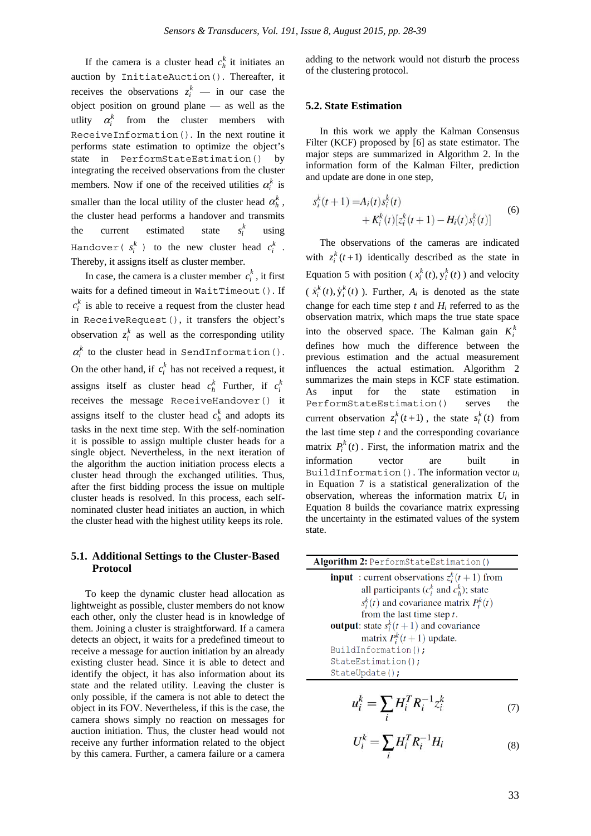If the camera is a cluster head  $c_h^k$  it initiates an auction by InitiateAuction(). Thereafter, it receives the observations  $z_i^k$  — in our case the object position on ground plane — as well as the utlity  $\alpha_i^k$  from the cluster members with ReceiveInformation(). In the next routine it performs state estimation to optimize the object's state in PerformStateEstimation() by integrating the received observations from the cluster members. Now if one of the received utilities  $\alpha_i^k$  is smaller than the local utility of the cluster head  $\alpha_h^k$ , the cluster head performs a handover and transmits the current estimated state  $s_i^k$ *is* using Handover ( $s_i^k$ ) to the new cluster head  $c_i^k$  . Thereby, it assigns itself as cluster member.

In case, the camera is a cluster member  $c_i^k$ , it first waits for a defined timeout in WaitTimeout(). If  $c_i^k$  is able to receive a request from the cluster head in ReceiveRequest(), it transfers the object's observation  $z_i^k$  as well as the corresponding utility  $\alpha_i^k$  to the cluster head in SendInformation(). On the other hand, if  $c_i^k$  has not received a request, it assigns itself as cluster head  $c_h^k$  Further, if  $c_i^k$ receives the message ReceiveHandover() it assigns itself to the cluster head  $c_h^k$  and adopts its tasks in the next time step. With the self-nomination it is possible to assign multiple cluster heads for a single object. Nevertheless, in the next iteration of the algorithm the auction initiation process elects a cluster head through the exchanged utilities. Thus, after the first bidding process the issue on multiple cluster heads is resolved. In this process, each selfnominated cluster head initiates an auction, in which the cluster head with the highest utility keeps its role.

### **5.1. Additional Settings to the Cluster-Based Protocol**

To keep the dynamic cluster head allocation as lightweight as possible, cluster members do not know each other, only the cluster head is in knowledge of them. Joining a cluster is straightforward. If a camera detects an object, it waits for a predefined timeout to receive a message for auction initiation by an already existing cluster head. Since it is able to detect and identify the object, it has also information about its state and the related utility. Leaving the cluster is only possible, if the camera is not able to detect the object in its FOV. Nevertheless, if this is the case, the camera shows simply no reaction on messages for auction initiation. Thus, the cluster head would not receive any further information related to the object by this camera. Further, a camera failure or a camera

adding to the network would not disturb the process of the clustering protocol.

#### **5.2. State Estimation**

In this work we apply the Kalman Consensus Filter (KCF) proposed by [6] as state estimator. The major steps are summarized in Algorithm 2. In the information form of the Kalman Filter, prediction and update are done in one step,

$$
s_i^k(t+1) = A_i(t)s_i^k(t) + K_i^k(t)[z_i^k(t+1) - H_i(t)s_i^k(t)]
$$
 (6)

The observations of the cameras are indicated with  $z_i^k$  ( $t+1$ ) identically described as the state in Equation 5 with position ( $x_i^k(t)$ ,  $y_i^k(t)$ ) and velocity  $(\dot{x}_i^k(t), \dot{y}_i^k(t))$ . Further,  $A_i$  is denoted as the state change for each time step  $t$  and  $H_i$  referred to as the observation matrix, which maps the true state space into the observed space. The Kalman gain  $K_i^k$ defines how much the difference between the previous estimation and the actual measurement influences the actual estimation. Algorithm 2 summarizes the main steps in KCF state estimation. As input for the state estimation in PerformStateEstimation() serves the current observation  $z_i^k(t+1)$ , the state  $s_i^k(t)$  from the last time step *t* and the corresponding covariance matrix  $P_i^k(t)$ . First, the information matrix and the information vector are built in BuildInformation(). The information vector *ui* in Equation 7 is a statistical generalization of the observation, whereas the information matrix *Ui* in Equation 8 builds the covariance matrix expressing the uncertainty in the estimated values of the system state.

| Algorithm 2: PerformStateEstimation()                 |  |
|-------------------------------------------------------|--|
| <b>input</b> : current observations $z_i^k(t+1)$ from |  |
| all participants $(c_i^k$ and $c_k^k$ ); state        |  |
| $s_i^k(t)$ and covariance matrix $P_i^k(t)$           |  |
| from the last time step $t$ .                         |  |
| <b>output</b> : state $s_i^k(t+1)$ and covariance     |  |
| matrix $P_i^k(t+1)$ update.                           |  |
| BuildInformation();                                   |  |
| StateEstimation();                                    |  |
| StateUpdate();                                        |  |
| $u_i^k = \sum H_i^T R_i^{-1} z_i^k$                   |  |

$$
U_i^k = \sum_i H_i^T R_i^{-1} H_i \tag{8}
$$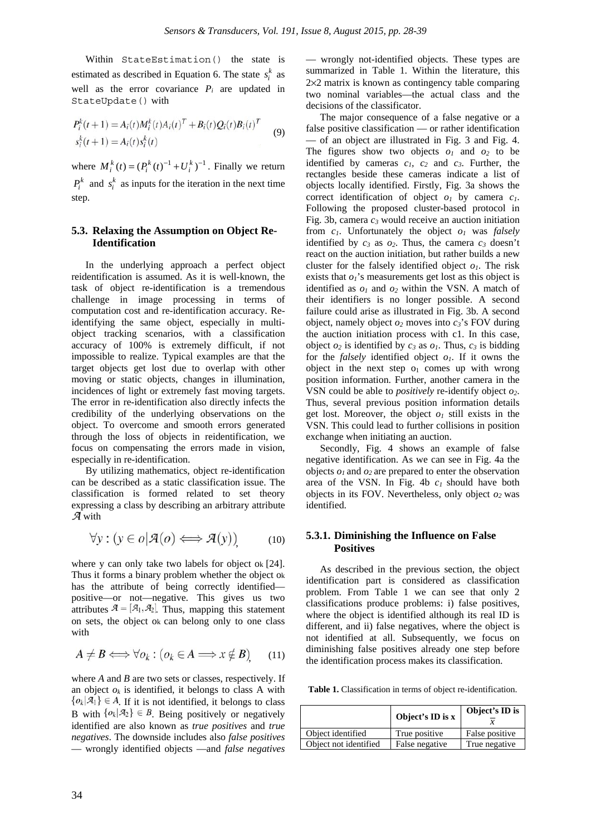Within StateEstimation() the state is estimated as described in Equation 6. The state  $s_i^k$  as well as the error covariance  $P_i$  are updated in StateUpdate() with

$$
P_i^k(t+1) = A_i(t)M_i^k(t)A_i(t)^T + B_i(t)Q_i(t)B_i(t)^T
$$
  
\n
$$
s_i^k(t+1) = A_i(t)s_i^k(t)
$$
\n(9)

where  $M_i^k(t) = (P_i^k(t)^{-1} + U_i^k)^{-1}$ . Finally we return  $P_i^k$  and  $s_i^k$  as inputs for the iteration in the next time step.

## **5.3. Relaxing the Assumption on Object Re-Identification**

In the underlying approach a perfect object reidentification is assumed. As it is well-known, the task of object re-identification is a tremendous challenge in image processing in terms of computation cost and re-identification accuracy. Reidentifying the same object, especially in multiobject tracking scenarios, with a classification accuracy of 100% is extremely difficult, if not impossible to realize. Typical examples are that the target objects get lost due to overlap with other moving or static objects, changes in illumination, incidences of light or extremely fast moving targets. The error in re-identification also directly infects the credibility of the underlying observations on the object. To overcome and smooth errors generated through the loss of objects in reidentification, we focus on compensating the errors made in vision, especially in re-identification.

By utilizing mathematics, object re-identification can be described as a static classification issue. The classification is formed related to set theory expressing a class by describing an arbitrary attribute  $\overline{\mathcal{A}}$  with

$$
\forall y : (y \in o | \mathcal{A}(o) \Longleftrightarrow \mathcal{A}(y))
$$
 (10)

where y can only take two labels for object ok [24]. Thus it forms a binary problem whether the object ok has the attribute of being correctly identified positive—or not—negative. This gives us two attributes  $A = [A_1, A_2]$ . Thus, mapping this statement on sets, the object ok can belong only to one class with

$$
A \neq B \Longleftrightarrow \forall o_k : (o_k \in A \Longrightarrow x \notin B) \tag{11}
$$

where *A* and *B* are two sets or classes, respectively. If an object  $o_k$  is identified, it belongs to class A with  $\{o_k | \mathcal{A}_1\} \in A$ . If it is not identified, it belongs to class B with  $\{o_k | \mathcal{A}_2\} \in B$ . Being positively or negatively identified are also known as *true positives* and *true negatives*. The downside includes also *false positives*  — wrongly identified objects —and *false negatives* 

— wrongly not-identified objects. These types are summarized in Table 1. Within the literature, this 2×2 matrix is known as contingency table comparing two nominal variables—the actual class and the decisions of the classificator.

The major consequence of a false negative or a false positive classification — or rather identification — of an object are illustrated in Fig. 3 and Fig. 4. The figures show two objects  $o_1$  and  $o_2$  to be identified by cameras  $c_1$ ,  $c_2$  and  $c_3$ . Further, the rectangles beside these cameras indicate a list of objects locally identified. Firstly, Fig. 3a shows the correct identification of object  $o_1$  by camera  $c_1$ . Following the proposed cluster-based protocol in Fig. 3b, camera *c3* would receive an auction initiation from  $c_1$ . Unfortunately the object  $o_1$  was *falsely* identified by  $c_3$  as  $o_2$ . Thus, the camera  $c_3$  doesn't react on the auction initiation, but rather builds a new cluster for the falsely identified object  $o<sub>l</sub>$ . The risk exists that  $o_1$ 's measurements get lost as this object is identified as  $o_1$  and  $o_2$  within the VSN. A match of their identifiers is no longer possible. A second failure could arise as illustrated in Fig. 3b. A second object, namely object  $o_2$  moves into  $c_3$ 's FOV during the auction initiation process with c1. In this case, object  $o_2$  is identified by  $c_3$  as  $o_1$ . Thus,  $c_3$  is bidding for the *falsely* identified object  $o<sub>l</sub>$ . If it owns the object in the next step  $o_1$  comes up with wrong position information. Further, another camera in the VSN could be able to *positively* re-identify object *o2*. Thus, several previous position information details get lost. Moreover, the object  $o<sub>l</sub>$  still exists in the VSN. This could lead to further collisions in position exchange when initiating an auction.

Secondly, Fig. 4 shows an example of false negative identification. As we can see in Fig. 4a the objects  $o_1$  and  $o_2$  are prepared to enter the observation area of the VSN. In Fig. 4b *c1* should have both objects in its FOV. Nevertheless, only object *o2* was identified.

## **5.3.1. Diminishing the Influence on False Positives**

As described in the previous section, the object identification part is considered as classification problem. From Table 1 we can see that only 2 classifications produce problems: i) false positives, where the object is identified although its real ID is different, and ii) false negatives, where the object is not identified at all. Subsequently, we focus on diminishing false positives already one step before the identification process makes its classification.

**Table 1.** Classification in terms of object re-identification.

|                       | Object's ID is x | Object's ID is |
|-----------------------|------------------|----------------|
| Object identified     | True positive    | False positive |
| Object not identified | False negative   | True negative  |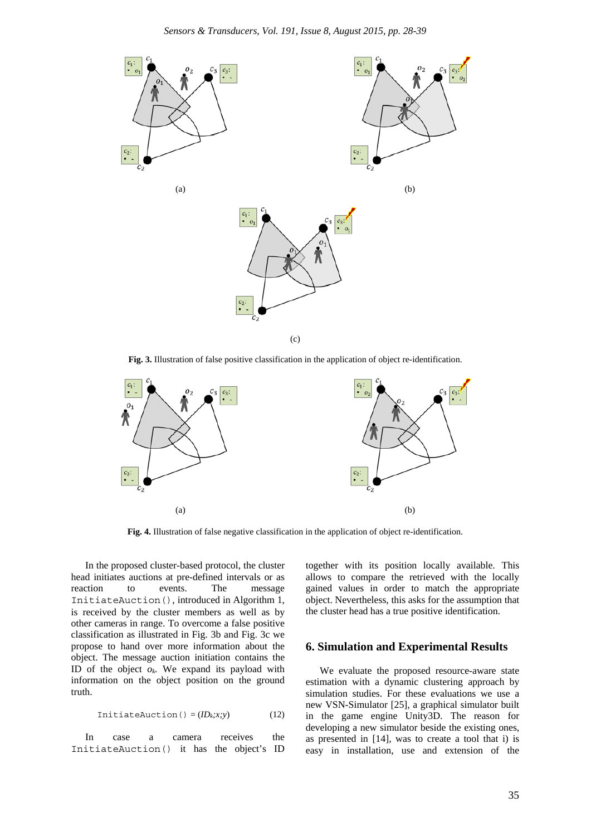

**Fig. 3.** Illustration of false positive classification in the application of object re-identification.



**Fig. 4.** Illustration of false negative classification in the application of object re-identification.

In the proposed cluster-based protocol, the cluster head initiates auctions at pre-defined intervals or as reaction to events. The message InitiateAuction(), introduced in Algorithm 1, is received by the cluster members as well as by other cameras in range. To overcome a false positive classification as illustrated in Fig. 3b and Fig. 3c we propose to hand over more information about the object. The message auction initiation contains the ID of the object *ok.* We expand its payload with information on the object position on the ground truth.

$$
InitiateAuction() = (ID_k; x; y)
$$
 (12)

In case a camera receives the InitiateAuction() it has the object's ID together with its position locally available. This allows to compare the retrieved with the locally gained values in order to match the appropriate object. Nevertheless, this asks for the assumption that the cluster head has a true positive identification.

## **6. Simulation and Experimental Results**

We evaluate the proposed resource-aware state estimation with a dynamic clustering approach by simulation studies. For these evaluations we use a new VSN-Simulator [25], a graphical simulator built in the game engine Unity3D. The reason for developing a new simulator beside the existing ones, as presented in [14], was to create a tool that i) is easy in installation, use and extension of the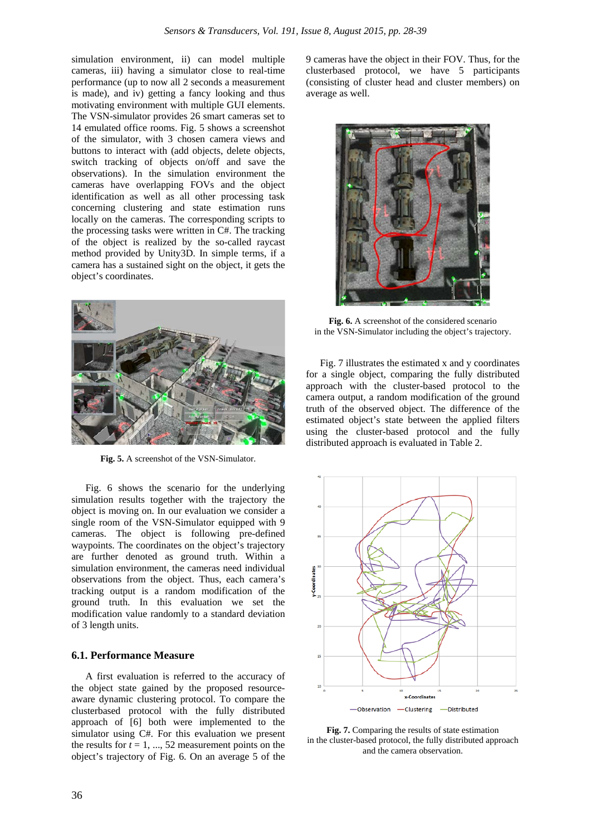simulation environment, ii) can model multiple cameras, iii) having a simulator close to real-time performance (up to now all 2 seconds a measurement is made), and iv) getting a fancy looking and thus motivating environment with multiple GUI elements. The VSN-simulator provides 26 smart cameras set to 14 emulated office rooms. Fig. 5 shows a screenshot of the simulator, with 3 chosen camera views and buttons to interact with (add objects, delete objects, switch tracking of objects on/off and save the observations). In the simulation environment the cameras have overlapping FOVs and the object identification as well as all other processing task concerning clustering and state estimation runs locally on the cameras. The corresponding scripts to the processing tasks were written in C#. The tracking of the object is realized by the so-called raycast method provided by Unity3D. In simple terms, if a camera has a sustained sight on the object, it gets the object's coordinates.



**Fig. 5.** A screenshot of the VSN-Simulator.

Fig. 6 shows the scenario for the underlying simulation results together with the trajectory the object is moving on. In our evaluation we consider a single room of the VSN-Simulator equipped with 9 cameras. The object is following pre-defined waypoints. The coordinates on the object's trajectory are further denoted as ground truth. Within a simulation environment, the cameras need individual observations from the object. Thus, each camera's tracking output is a random modification of the ground truth. In this evaluation we set the modification value randomly to a standard deviation of 3 length units.

#### **6.1. Performance Measure**

A first evaluation is referred to the accuracy of the object state gained by the proposed resourceaware dynamic clustering protocol. To compare the clusterbased protocol with the fully distributed approach of [6] both were implemented to the simulator using C#. For this evaluation we present the results for  $t = 1, ..., 52$  measurement points on the object's trajectory of Fig. 6. On an average 5 of the

9 cameras have the object in their FOV. Thus, for the clusterbased protocol, we have 5 participants (consisting of cluster head and cluster members) on average as well.



**Fig. 6.** A screenshot of the considered scenario in the VSN-Simulator including the object's trajectory.

Fig. 7 illustrates the estimated x and y coordinates for a single object, comparing the fully distributed approach with the cluster-based protocol to the camera output, a random modification of the ground truth of the observed object. The difference of the estimated object's state between the applied filters using the cluster-based protocol and the fully distributed approach is evaluated in Table 2.



**Fig. 7.** Comparing the results of state estimation in the cluster-based protocol, the fully distributed approach and the camera observation.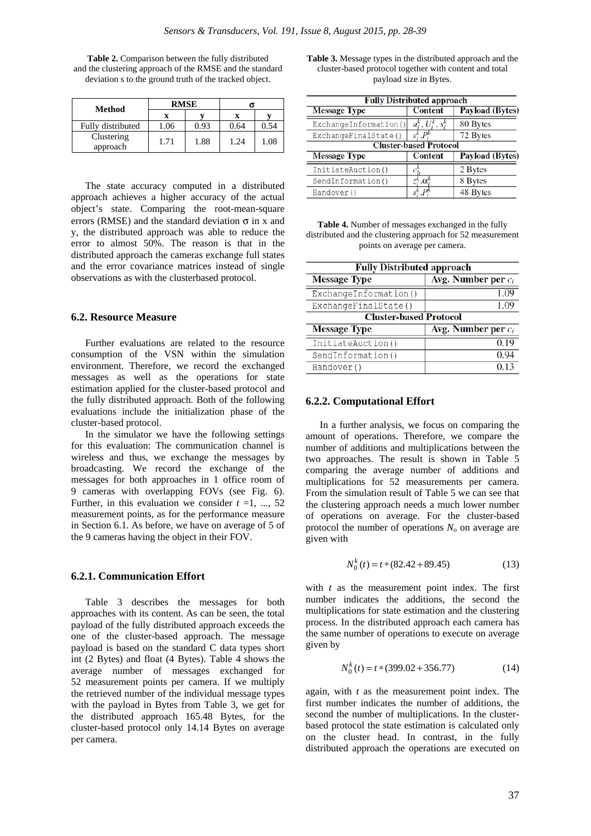| Method                 |      | <b>RMSE</b> |      |      |
|------------------------|------|-------------|------|------|
|                        |      |             | x    |      |
| Fully distributed      | 1.06 | 0.93        | 0.64 | 0.54 |
| Clustering<br>approach | 1.71 | 1.88        | 1.24 | 1.08 |

**Table 2.** Comparison between the fully distributed and the clustering approach of the RMSE and the standard deviation s to the ground truth of the tracked object.

The state accuracy computed in a distributed approach achieves a higher accuracy of the actual object's state. Comparing the root-mean-square errors (RMSE) and the standard deviation  $\sigma$  in x and y, the distributed approach was able to reduce the error to almost 50%. The reason is that in the distributed approach the cameras exchange full states and the error covariance matrices instead of single observations as with the clusterbased protocol.

#### **6.2. Resource Measure**

Further evaluations are related to the resource consumption of the VSN within the simulation environment. Therefore, we record the exchanged messages as well as the operations for state estimation applied for the cluster-based protocol and the fully distributed approach. Both of the following evaluations include the initialization phase of the cluster-based protocol.

In the simulator we have the following settings for this evaluation: The communication channel is wireless and thus, we exchange the messages by broadcasting. We record the exchange of the messages for both approaches in 1 office room of 9 cameras with overlapping FOVs (see Fig. 6). Further, in this evaluation we consider  $t = 1, \ldots, 52$ measurement points, as for the performance measure in Section 6.1. As before, we have on average of 5 of the 9 cameras having the object in their FOV.

#### **6.2.1. Communication Effort**

Table 3 describes the messages for both approaches with its content. As can be seen, the total payload of the fully distributed approach exceeds the one of the cluster-based approach. The message payload is based on the standard C data types short int (2 Bytes) and float (4 Bytes). Table 4 shows the average number of messages exchanged for 52 measurement points per camera. If we multiply the retrieved number of the individual message types with the payload in Bytes from Table 3, we get for the distributed approach 165.48 Bytes, for the cluster-based protocol only 14.14 Bytes on average per camera.

**Table 3.** Message types in the distributed approach and the cluster-based protocol together with content and total payload size in Bytes.

| <b>Fully Distributed approach</b> |                          |                        |
|-----------------------------------|--------------------------|------------------------|
| <b>Message Type</b>               | <b>Content</b>           | <b>Payload (Bytes)</b> |
| ExchangeInformation()             | $\cdot$ U<br>$\cdot$ S?  | 80 Bytes               |
| ExchangeFinalState()              |                          | 72 Bytes               |
| <b>Cluster-based Protocol</b>     |                          |                        |
| <b>Message Type</b>               | <b>Content</b>           | <b>Payload (Bytes)</b> |
| InitiateAuction()                 |                          | 2 Bytes                |
| SendInformation()                 | $\cdot, \alpha^{\kappa}$ | 8 Bytes                |
| Handover ()                       |                          | 48 Bytes               |

| <b>Table 4.</b> Number of messages exchanged in the fully  |
|------------------------------------------------------------|
| distributed and the clustering approach for 52 measurement |
| points on average per camera.                              |

| <b>Fully Distributed approach</b> |                       |  |
|-----------------------------------|-----------------------|--|
| <b>Message Type</b>               | Avg. Number per $c_i$ |  |
| ExchangeInformation()             | 1.09                  |  |
| ExchangeFinalState()              | 1.09                  |  |
| <b>Cluster-based Protocol</b>     |                       |  |
| <b>Message Type</b>               | Avg. Number per $c_i$ |  |
| InitiateAuction()                 | 0.19                  |  |
| SendInformation()                 | 0.94                  |  |
| Handover()                        | 0.13                  |  |

#### **6.2.2. Computational Effort**

In a further analysis, we focus on comparing the amount of operations. Therefore, we compare the number of additions and multiplications between the two approaches. The result is shown in Table 5 comparing the average number of additions and multiplications for 52 measurements per camera. From the simulation result of Table 5 we can see that the clustering approach needs a much lower number of operations on average. For the cluster-based protocol the number of operations  $N<sub>o</sub>$  on average are given with

$$
N_0^k(t) = t * (82.42 + 89.45)
$$
 (13)

with *t* as the measurement point index. The first number indicates the additions, the second the multiplications for state estimation and the clustering process. In the distributed approach each camera has the same number of operations to execute on average given by

$$
N_0^k(t) = t * (399.02 + 356.77)
$$
 (14)

again, with *t* as the measurement point index. The first number indicates the number of additions, the second the number of multiplications. In the clusterbased protocol the state estimation is calculated only on the cluster head. In contrast, in the fully distributed approach the operations are executed on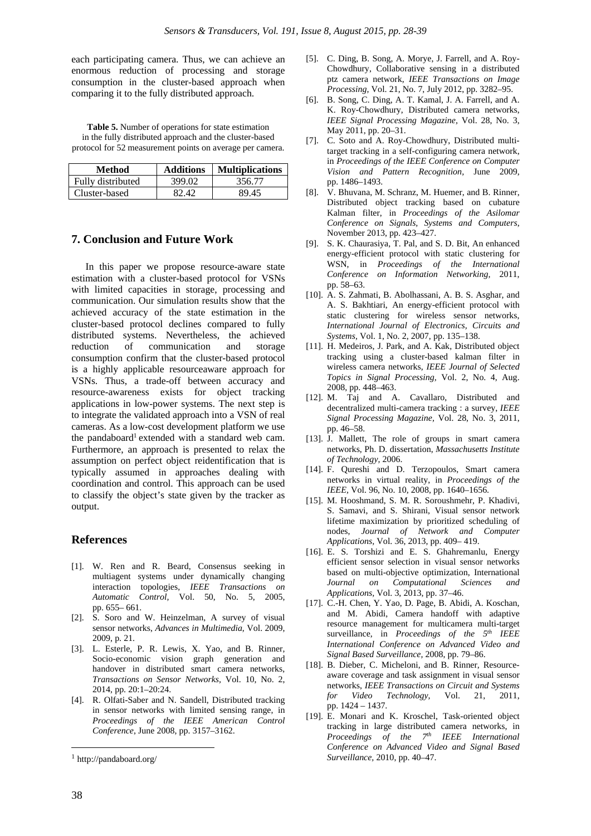each participating camera. Thus, we can achieve an enormous reduction of processing and storage consumption in the cluster-based approach when comparing it to the fully distributed approach.

**Table 5.** Number of operations for state estimation in the fully distributed approach and the cluster-based protocol for 52 measurement points on average per camera.

| Method            | <b>Additions</b> | <b>Multiplications</b> |
|-------------------|------------------|------------------------|
| Fully distributed | 399.02           | 356.77                 |
| Cluster-based     | 82.42            | 89.45                  |

## **7. Conclusion and Future Work**

In this paper we propose resource-aware state estimation with a cluster-based protocol for VSNs with limited capacities in storage, processing and communication. Our simulation results show that the achieved accuracy of the state estimation in the cluster-based protocol declines compared to fully distributed systems. Nevertheless, the achieved reduction of communication and storage consumption confirm that the cluster-based protocol is a highly applicable resourceaware approach for VSNs. Thus, a trade-off between accuracy and resource-awareness exists for object tracking applications in low-power systems. The next step is to integrate the validated approach into a VSN of real cameras. As a low-cost development platform we use the pandaboard<sup>1</sup> extended with a standard web cam. Furthermore, an approach is presented to relax the assumption on perfect object reidentification that is typically assumed in approaches dealing with coordination and control. This approach can be used to classify the object's state given by the tracker as output.

## **References**

- [1]. W. Ren and R. Beard, Consensus seeking in multiagent systems under dynamically changing interaction topologies, *IEEE Transactions on Automatic Control,* Vol. 50, No. 5, 2005, pp. 655– 661.
- [2]. S. Soro and W. Heinzelman, A survey of visual sensor networks, *Advances in Multimedia*, Vol. 2009, 2009, p. 21.
- [3]. L. Esterle, P. R. Lewis, X. Yao, and B. Rinner, Socio-economic vision graph generation and handover in distributed smart camera networks, *Transactions on Sensor Networks,* Vol. 10, No. 2, 2014, pp. 20:1–20:24.
- [4]. R. Olfati-Saber and N. Sandell, Distributed tracking in sensor networks with limited sensing range, in *Proceedings of the IEEE American Control Conference*, June 2008, pp. 3157–3162.
- [5]. C. Ding, B. Song, A. Morye, J. Farrell, and A. Roy-Chowdhury, Collaborative sensing in a distributed ptz camera network, *IEEE Transactions on Image Processing,* Vol. 21, No. 7, July 2012, pp. 3282–95.
- [6]. B. Song, C. Ding, A. T. Kamal, J. A. Farrell, and A. K. Roy-Chowdhury, Distributed camera networks, *IEEE Signal Processing Magazine,* Vol. 28, No. 3, May 2011, pp. 20–31.
- [7]. C. Soto and A. Roy-Chowdhury, Distributed multitarget tracking in a self-configuring camera network, in *Proceedings of the IEEE Conference on Computer Vision and Pattern Recognition,* June 2009, pp. 1486–1493.
- [8]. V. Bhuvana, M. Schranz, M. Huemer, and B. Rinner, Distributed object tracking based on cubature Kalman filter, in *Proceedings of the Asilomar Conference on Signals, Systems and Computers*, November 2013, pp. 423–427.
- [9]. S. K. Chaurasiya, T. Pal, and S. D. Bit, An enhanced energy-efficient protocol with static clustering for WSN, in *Proceedings of the International Conference on Information Networking,* 2011, pp. 58–63.
- [10]. A. S. Zahmati, B. Abolhassani, A. B. S. Asghar, and A. S. Bakhtiari, An energy-efficient protocol with static clustering for wireless sensor networks, *International Journal of Electronics, Circuits and Systems,* Vol. 1, No. 2, 2007, pp. 135–138.
- [11]. H. Medeiros, J. Park, and A. Kak, Distributed object tracking using a cluster-based kalman filter in wireless camera networks, *IEEE Journal of Selected Topics in Signal Processing,* Vol. 2, No. 4, Aug. 2008, pp. 448–463.
- [12]. M. Taj and A. Cavallaro, Distributed and decentralized multi-camera tracking : a survey, *IEEE Signal Processing Magazine,* Vol. 28, No. 3, 2011, pp. 46–58.
- [13]. J. Mallett, The role of groups in smart camera networks, Ph. D. dissertation, *Massachusetts Institute of Technology,* 2006.
- [14]. F. Qureshi and D. Terzopoulos, Smart camera networks in virtual reality, in *Proceedings of the IEEE,* Vol. 96, No. 10, 2008, pp. 1640–1656.
- [15]. M. Hooshmand, S. M. R. Soroushmehr, P. Khadivi, S. Samavi, and S. Shirani, Visual sensor network lifetime maximization by prioritized scheduling of nodes, *Journal of Network and Computer Applications,* Vol. 36, 2013, pp. 409– 419.
- [16]. E. S. Torshizi and E. S. Ghahremanlu, Energy efficient sensor selection in visual sensor networks based on multi-objective optimization, International *Journal on Computational Sciences and Applications,* Vol. 3, 2013, pp. 37–46.
- [17]. C.-H. Chen, Y. Yao, D. Page, B. Abidi, A. Koschan, and M. Abidi, Camera handoff with adaptive resource management for multicamera multi-target surveillance, in *Proceedings of the 5th IEEE International Conference on Advanced Video and Signal Based Surveillance,* 2008, pp. 79–86.
- [18]. B. Dieber, C. Micheloni, and B. Rinner, Resourceaware coverage and task assignment in visual sensor networks, *IEEE Transactions on Circuit and Systems for Video Technology,* Vol. 21, 2011, pp. 1424 – 1437.
- [19]. E. Monari and K. Kroschel, Task-oriented object tracking in large distributed camera networks, in *Proceedings of the 7th IEEE International Conference on Advanced Video and Signal Based Surveillance,* 2010, pp. 40–47.

1

 $^{\rm l}$ http://pandaboard.org/